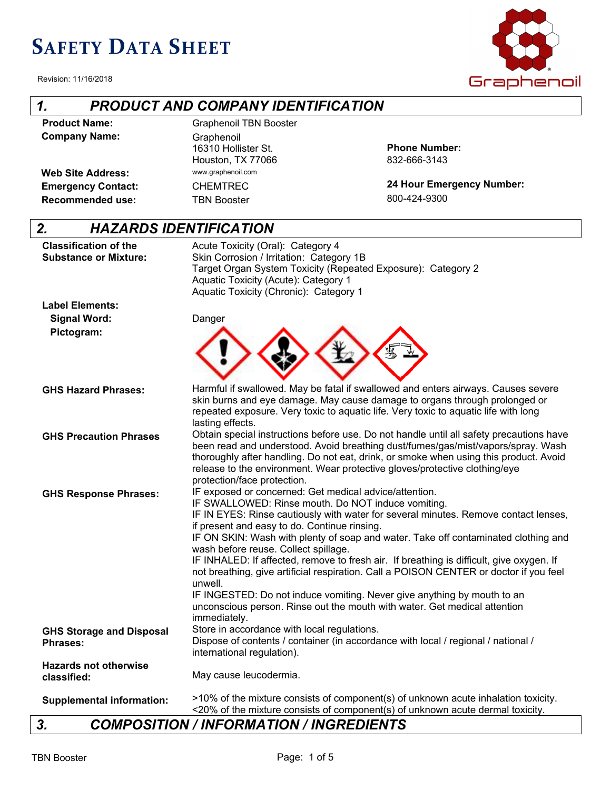# **SAFETY DATA SHEET**

**Revision: 11/16/2018** 



## *1. PRODUCT AND COMPANY IDENTIFICATION*

| <b>Product Name:</b>      |
|---------------------------|
| <b>Company Name:</b>      |
|                           |
|                           |
| <b>Web Site Address:</b>  |
|                           |
| <b>Emergency Contact:</b> |

**Recommended use:** 

Graphenoil TBN Booster Graphenoil **Chemical Company**, Inc. **Inc. 2019** 16310 Hollister St. Houston, TX 77066 www.graphenoil.com CHEMTREC TBN Booster

**Phone Number:**  832-666-3143

**24 Hour Emergency Number:**  (800) 424-9300 800-424-9300

# *2. HAZARDS IDENTIFICATION*

| <b>Classification of the</b><br><b>Substance or Mixture:</b> | Acute Toxicity (Oral): Category 4<br>Skin Corrosion / Irritation: Category 1B<br>Target Organ System Toxicity (Repeated Exposure): Category 2<br>Aquatic Toxicity (Acute): Category 1<br>Aquatic Toxicity (Chronic): Category 1                                                                                                                                                                                                                                                                                                                                                                                                                                                                                                                            |
|--------------------------------------------------------------|------------------------------------------------------------------------------------------------------------------------------------------------------------------------------------------------------------------------------------------------------------------------------------------------------------------------------------------------------------------------------------------------------------------------------------------------------------------------------------------------------------------------------------------------------------------------------------------------------------------------------------------------------------------------------------------------------------------------------------------------------------|
| <b>Label Elements:</b>                                       |                                                                                                                                                                                                                                                                                                                                                                                                                                                                                                                                                                                                                                                                                                                                                            |
| <b>Signal Word:</b>                                          | Danger                                                                                                                                                                                                                                                                                                                                                                                                                                                                                                                                                                                                                                                                                                                                                     |
| Pictogram:                                                   |                                                                                                                                                                                                                                                                                                                                                                                                                                                                                                                                                                                                                                                                                                                                                            |
| <b>GHS Hazard Phrases:</b>                                   | Harmful if swallowed. May be fatal if swallowed and enters airways. Causes severe<br>skin burns and eye damage. May cause damage to organs through prolonged or<br>repeated exposure. Very toxic to aquatic life. Very toxic to aquatic life with long<br>lasting effects.                                                                                                                                                                                                                                                                                                                                                                                                                                                                                 |
| <b>GHS Precaution Phrases</b>                                | Obtain special instructions before use. Do not handle until all safety precautions have<br>been read and understood. Avoid breathing dust/fumes/gas/mist/vapors/spray. Wash<br>thoroughly after handling. Do not eat, drink, or smoke when using this product. Avoid<br>release to the environment. Wear protective gloves/protective clothing/eye<br>protection/face protection.                                                                                                                                                                                                                                                                                                                                                                          |
| <b>GHS Response Phrases:</b>                                 | IF exposed or concerned: Get medical advice/attention.<br>IF SWALLOWED: Rinse mouth. Do NOT induce vomiting.<br>IF IN EYES: Rinse cautiously with water for several minutes. Remove contact lenses,<br>if present and easy to do. Continue rinsing.<br>IF ON SKIN: Wash with plenty of soap and water. Take off contaminated clothing and<br>wash before reuse. Collect spillage.<br>IF INHALED: If affected, remove to fresh air. If breathing is difficult, give oxygen. If<br>not breathing, give artificial respiration. Call a POISON CENTER or doctor if you feel<br>unwell.<br>IF INGESTED: Do not induce vomiting. Never give anything by mouth to an<br>unconscious person. Rinse out the mouth with water. Get medical attention<br>immediately. |
| <b>GHS Storage and Disposal</b><br><b>Phrases:</b>           | Store in accordance with local regulations.<br>Dispose of contents / container (in accordance with local / regional / national /<br>international regulation).                                                                                                                                                                                                                                                                                                                                                                                                                                                                                                                                                                                             |
| <b>Hazards not otherwise</b><br>classified:                  | May cause leucodermia.                                                                                                                                                                                                                                                                                                                                                                                                                                                                                                                                                                                                                                                                                                                                     |
| <b>Supplemental information:</b>                             | >10% of the mixture consists of component(s) of unknown acute inhalation toxicity.<br><20% of the mixture consists of component(s) of unknown acute dermal toxicity.                                                                                                                                                                                                                                                                                                                                                                                                                                                                                                                                                                                       |

## *3. COMPOSITION / INFORMATION / INGREDIENTS*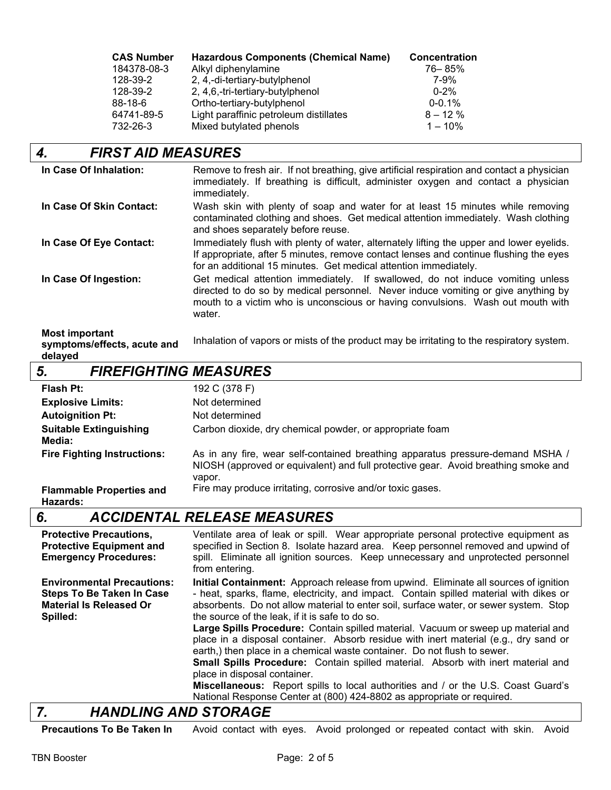| <b>CAS Number</b> | <b>Hazardous Components (Chemical Name)</b> | <b>Concentration</b> |
|-------------------|---------------------------------------------|----------------------|
| 184378-08-3       | Alkyl diphenylamine                         | 76-85%               |
| 128-39-2          | 2, 4,-di-tertiary-butylphenol               | $7 - 9%$             |
| 128-39-2          | 2, 4,6,-tri-tertiary-butylphenol            | $0 - 2%$             |
| $88 - 18 - 6$     | Ortho-tertiary-butylphenol                  | $0 - 0.1%$           |
| 64741-89-5        | Light paraffinic petroleum distillates      | $8 - 12\%$           |
| 732-26-3          | Mixed butylated phenols                     | $1 - 10\%$           |

# *4. FIRST AID MEASURES*

| In Case Of Inhalation:                                                                                              | Remove to fresh air. If not breathing, give artificial respiration and contact a physician<br>immediately. If breathing is difficult, administer oxygen and contact a physician<br>immediately.                                                                                                                                                                                                                                                                                                                                                                                                                                                                                                         |
|---------------------------------------------------------------------------------------------------------------------|---------------------------------------------------------------------------------------------------------------------------------------------------------------------------------------------------------------------------------------------------------------------------------------------------------------------------------------------------------------------------------------------------------------------------------------------------------------------------------------------------------------------------------------------------------------------------------------------------------------------------------------------------------------------------------------------------------|
| In Case Of Skin Contact:                                                                                            | Wash skin with plenty of soap and water for at least 15 minutes while removing<br>contaminated clothing and shoes. Get medical attention immediately. Wash clothing<br>and shoes separately before reuse.                                                                                                                                                                                                                                                                                                                                                                                                                                                                                               |
| In Case Of Eye Contact:                                                                                             | Immediately flush with plenty of water, alternately lifting the upper and lower eyelids.<br>If appropriate, after 5 minutes, remove contact lenses and continue flushing the eyes<br>for an additional 15 minutes. Get medical attention immediately.                                                                                                                                                                                                                                                                                                                                                                                                                                                   |
| In Case Of Ingestion:                                                                                               | Get medical attention immediately. If swallowed, do not induce vomiting unless<br>directed to do so by medical personnel. Never induce vomiting or give anything by<br>mouth to a victim who is unconscious or having convulsions. Wash out mouth with<br>water.                                                                                                                                                                                                                                                                                                                                                                                                                                        |
| <b>Most important</b><br>symptoms/effects, acute and<br>delayed                                                     | Inhalation of vapors or mists of the product may be irritating to the respiratory system.                                                                                                                                                                                                                                                                                                                                                                                                                                                                                                                                                                                                               |
| <b>FIREFIGHTING MEASURES</b><br>5.                                                                                  |                                                                                                                                                                                                                                                                                                                                                                                                                                                                                                                                                                                                                                                                                                         |
| <b>Flash Pt:</b>                                                                                                    | 192 C (378 F)                                                                                                                                                                                                                                                                                                                                                                                                                                                                                                                                                                                                                                                                                           |
| <b>Explosive Limits:</b>                                                                                            | Not determined                                                                                                                                                                                                                                                                                                                                                                                                                                                                                                                                                                                                                                                                                          |
| <b>Autoignition Pt:</b>                                                                                             | Not determined                                                                                                                                                                                                                                                                                                                                                                                                                                                                                                                                                                                                                                                                                          |
| <b>Suitable Extinguishing</b><br>Media:                                                                             | Carbon dioxide, dry chemical powder, or appropriate foam                                                                                                                                                                                                                                                                                                                                                                                                                                                                                                                                                                                                                                                |
| <b>Fire Fighting Instructions:</b>                                                                                  | As in any fire, wear self-contained breathing apparatus pressure-demand MSHA /<br>NIOSH (approved or equivalent) and full protective gear. Avoid breathing smoke and<br>vapor.                                                                                                                                                                                                                                                                                                                                                                                                                                                                                                                          |
| <b>Flammable Properties and</b><br>Hazards:                                                                         | Fire may produce irritating, corrosive and/or toxic gases.                                                                                                                                                                                                                                                                                                                                                                                                                                                                                                                                                                                                                                              |
| 6.                                                                                                                  | <b>ACCIDENTAL RELEASE MEASURES</b>                                                                                                                                                                                                                                                                                                                                                                                                                                                                                                                                                                                                                                                                      |
| <b>Protective Precautions,</b><br><b>Protective Equipment and</b><br><b>Emergency Procedures:</b>                   | Ventilate area of leak or spill. Wear appropriate personal protective equipment as<br>specified in Section 8. Isolate hazard area. Keep personnel removed and upwind of<br>spill. Eliminate all ignition sources. Keep unnecessary and unprotected personnel<br>from entering.                                                                                                                                                                                                                                                                                                                                                                                                                          |
| <b>Environmental Precautions:</b><br><b>Steps To Be Taken In Case</b><br><b>Material Is Released Or</b><br>Spilled: | Initial Containment: Approach release from upwind. Eliminate all sources of ignition<br>- heat, sparks, flame, electricity, and impact. Contain spilled material with dikes or<br>absorbents. Do not allow material to enter soil, surface water, or sewer system. Stop<br>the source of the leak, if it is safe to do so.<br>Large Spills Procedure: Contain spilled material. Vacuum or sweep up material and<br>place in a disposal container. Absorb residue with inert material (e.g., dry sand or<br>earth,) then place in a chemical waste container. Do not flush to sewer.<br>Small Spills Procedure: Contain spilled material. Absorb with inert material and<br>place in disposal container. |
|                                                                                                                     | Miscellaneous: Report spills to local authorities and / or the U.S. Coast Guard's<br>National Response Center at (800) 424-8802 as appropriate or required.                                                                                                                                                                                                                                                                                                                                                                                                                                                                                                                                             |

### *7. HANDLING AND STORAGE*

Precautions To Be Taken In Avoid contact with eyes. Avoid prolonged or repeated contact with skin. Avoid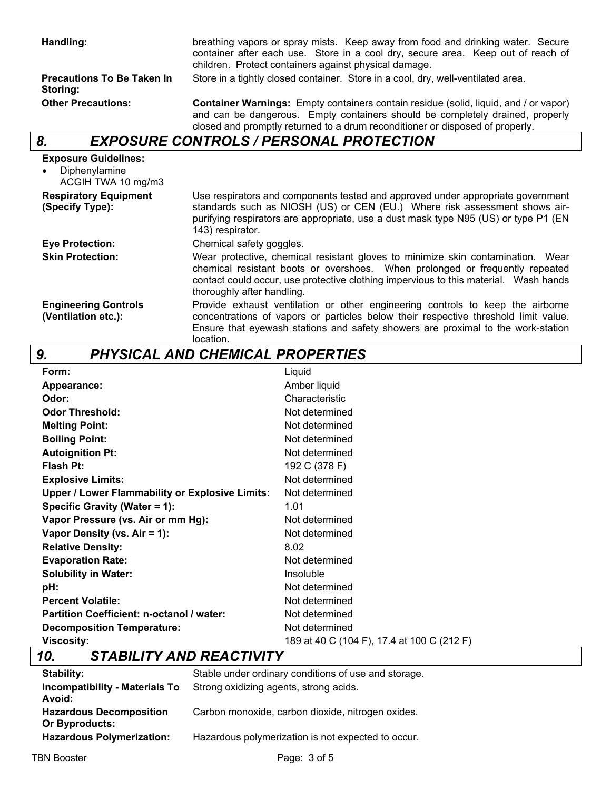**Handling:** breathing vapors or spray mists. Keep away from food and drinking water. Secure container after each use. Store in a cool dry, secure area. Keep out of reach of children. Protect containers against physical damage.

**Precautions To Be Taken In Storing:**

Store in a tightly closed container. Store in a cool, dry, well-ventilated area.

**Other Precautions: Container Warnings:** Empty containers contain residue (solid, liquid, and / or vapor) and can be dangerous. Empty containers should be completely drained, properly closed and promptly returned to a drum reconditioner or disposed of properly.

## *8. EXPOSURE CONTROLS / PERSONAL PROTECTION*

| <b>Exposure Guidelines:</b><br>Diphenylamine<br>ACGIH TWA 10 mg/m3 |                                                                                                                                                                                                                                                                                          |
|--------------------------------------------------------------------|------------------------------------------------------------------------------------------------------------------------------------------------------------------------------------------------------------------------------------------------------------------------------------------|
| <b>Respiratory Equipment</b><br>(Specify Type):                    | Use respirators and components tested and approved under appropriate government<br>standards such as NIOSH (US) or CEN (EU.) Where risk assessment shows air-<br>purifying respirators are appropriate, use a dust mask type N95 (US) or type P1 (EN<br>143) respirator.                 |
| <b>Eye Protection:</b>                                             | Chemical safety goggles.                                                                                                                                                                                                                                                                 |
| <b>Skin Protection:</b>                                            | Wear protective, chemical resistant gloves to minimize skin contamination.<br>Wear<br>chemical resistant boots or overshoes. When prolonged or frequently repeated<br>contact could occur, use protective clothing impervious to this material. Wash hands<br>thoroughly after handling. |
| <b>Engineering Controls</b><br>(Ventilation etc.):                 | Provide exhaust ventilation or other engineering controls to keep the airborne<br>concentrations of vapors or particles below their respective threshold limit value.<br>Ensure that eyewash stations and safety showers are proximal to the work-station<br>location.                   |

# *9. PHYSICAL AND CHEMICAL PROPERTIES*

| Form:                                                  | Liquid                                     |
|--------------------------------------------------------|--------------------------------------------|
| Appearance:                                            | Amber liquid                               |
| Odor:                                                  | Characteristic                             |
| <b>Odor Threshold:</b>                                 | Not determined                             |
| <b>Melting Point:</b>                                  | Not determined                             |
| <b>Boiling Point:</b>                                  | Not determined                             |
| <b>Autoignition Pt:</b>                                | Not determined                             |
| Flash Pt:                                              | 192 C (378 F)                              |
| <b>Explosive Limits:</b>                               | Not determined                             |
| <b>Upper / Lower Flammability or Explosive Limits:</b> | Not determined                             |
| Specific Gravity (Water = 1):                          | 1.01                                       |
| Vapor Pressure (vs. Air or mm Hg):                     | Not determined                             |
| Vapor Density (vs. Air = 1):                           | Not determined                             |
| <b>Relative Density:</b>                               | 8.02                                       |
| <b>Evaporation Rate:</b>                               | Not determined                             |
| <b>Solubility in Water:</b>                            | Insoluble                                  |
| pH:                                                    | Not determined                             |
| <b>Percent Volatile:</b>                               | Not determined                             |
| Partition Coefficient: n-octanol / water:              | Not determined                             |
| <b>Decomposition Temperature:</b>                      | Not determined                             |
| <b>Viscosity:</b>                                      | 189 at 40 C (104 F), 17.4 at 100 C (212 F) |
| 10<br>STARII ITV AND REACTIVITV                        |                                            |

# *10. STABILITY AND REACTIVITY*

| Stability:                                              | Stable under ordinary conditions of use and storage. |
|---------------------------------------------------------|------------------------------------------------------|
| <b>Incompatibility - Materials To</b><br>Avoid:         | Strong oxidizing agents, strong acids.               |
| <b>Hazardous Decomposition</b><br><b>Or Byproducts:</b> | Carbon monoxide, carbon dioxide, nitrogen oxides.    |
| <b>Hazardous Polymerization:</b>                        | Hazardous polymerization is not expected to occur.   |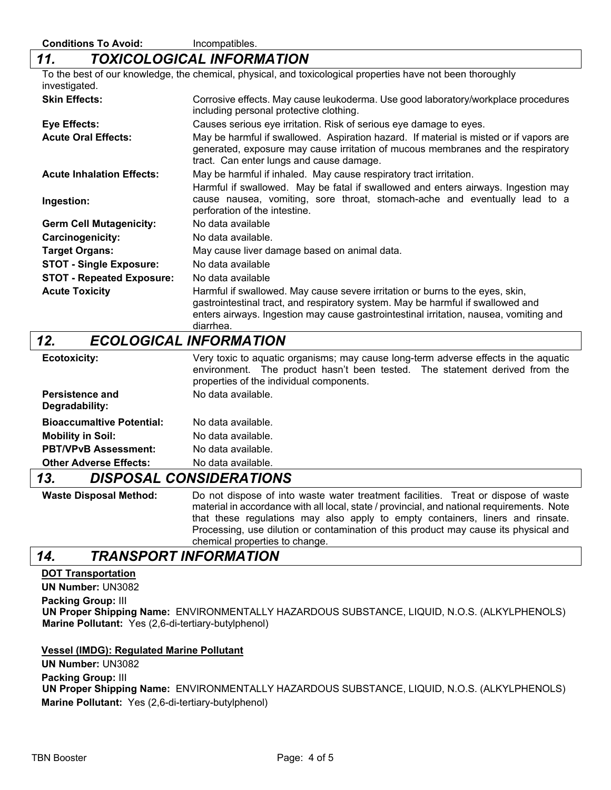### *11. TOXICOLOGICAL INFORMATION*

| investigated.                    | To the best of our knowledge, the chemical, physical, and toxicological properties have not been thoroughly                                                                                                                                                            |
|----------------------------------|------------------------------------------------------------------------------------------------------------------------------------------------------------------------------------------------------------------------------------------------------------------------|
| <b>Skin Effects:</b>             | Corrosive effects. May cause leukoderma. Use good laboratory/workplace procedures<br>including personal protective clothing.                                                                                                                                           |
| <b>Eye Effects:</b>              | Causes serious eye irritation. Risk of serious eye damage to eyes.                                                                                                                                                                                                     |
| <b>Acute Oral Effects:</b>       | May be harmful if swallowed. Aspiration hazard. If material is misted or if vapors are<br>generated, exposure may cause irritation of mucous membranes and the respiratory<br>tract. Can enter lungs and cause damage.                                                 |
| <b>Acute Inhalation Effects:</b> | May be harmful if inhaled. May cause respiratory tract irritation.                                                                                                                                                                                                     |
|                                  | Harmful if swallowed. May be fatal if swallowed and enters airways. Ingestion may                                                                                                                                                                                      |
| Ingestion:                       | cause nausea, vomiting, sore throat, stomach-ache and eventually lead to a<br>perforation of the intestine.                                                                                                                                                            |
| <b>Germ Cell Mutagenicity:</b>   | No data available                                                                                                                                                                                                                                                      |
| <b>Carcinogenicity:</b>          | No data available.                                                                                                                                                                                                                                                     |
| <b>Target Organs:</b>            | May cause liver damage based on animal data.                                                                                                                                                                                                                           |
| <b>STOT - Single Exposure:</b>   | No data available                                                                                                                                                                                                                                                      |
| <b>STOT - Repeated Exposure:</b> | No data available                                                                                                                                                                                                                                                      |
| <b>Acute Toxicity</b>            | Harmful if swallowed. May cause severe irritation or burns to the eyes, skin,<br>gastrointestinal tract, and respiratory system. May be harmful if swallowed and<br>enters airways. Ingestion may cause gastrointestinal irritation, nausea, vomiting and<br>diarrhea. |

# *12. ECOLOGICAL INFORMATION*

| <b>Ecotoxicity:</b>                      | Very toxic to aquatic organisms; may cause long-term adverse effects in the aquatic<br>environment. The product hasn't been tested. The statement derived from the<br>properties of the individual components. |
|------------------------------------------|----------------------------------------------------------------------------------------------------------------------------------------------------------------------------------------------------------------|
| <b>Persistence and</b><br>Degradability: | No data available.                                                                                                                                                                                             |
| <b>Bioaccumaltive Potential:</b>         | No data available.                                                                                                                                                                                             |
| <b>Mobility in Soil:</b>                 | No data available.                                                                                                                                                                                             |
| <b>PBT/VPvB Assessment:</b>              | No data available.                                                                                                                                                                                             |
| <b>Other Adverse Effects:</b>            | No data available.                                                                                                                                                                                             |
| 13.                                      | <b>DISPOSAL CONSIDERATIONS</b>                                                                                                                                                                                 |

**Waste Disposal Method:** Do not dispose of into waste water treatment facilities. Treat or dispose of waste material in accordance with all local, state / provincial, and national requirements. Note that these regulations may also apply to empty containers, liners and rinsate. Processing, use dilution or contamination of this product may cause its physical and chemical properties to change.

#### *14. TRANSPORT INFORMATION*

#### **DOT Transportation**

**UN Number:** UN3082

**Packing Group:** III

**UN Proper Shipping Name:** ENVIRONMENTALLY HAZARDOUS SUBSTANCE, LIQUID, N.O.S. (ALKYLPHENOLS) **Marine Pollutant:** Yes (2,6-di-tertiary-butylphenol)

#### **Vessel (IMDG): Regulated Marine Pollutant**

**UN Number:** UN3082

**Packing Group:** III

**UN Proper Shipping Name:** ENVIRONMENTALLY HAZARDOUS SUBSTANCE, LIQUID, N.O.S. (ALKYLPHENOLS) **Marine Pollutant:** Yes (2,6-di-tertiary-butylphenol)